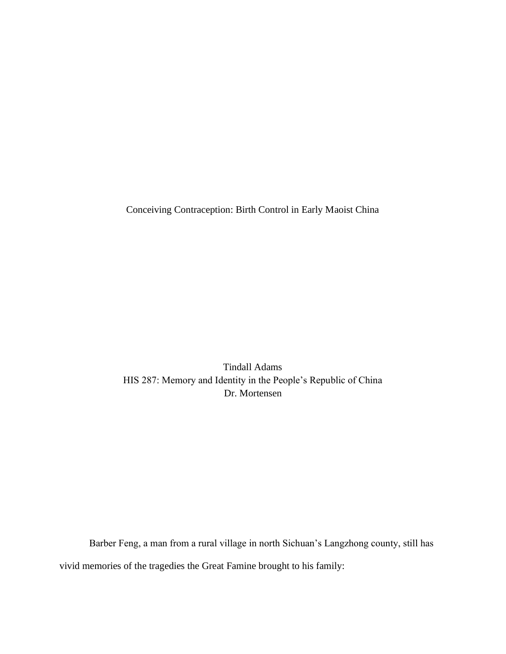Conceiving Contraception: Birth Control in Early Maoist China

Tindall Adams HIS 287: Memory and Identity in the People's Republic of China Dr. Mortensen

Barber Feng, a man from a rural village in north Sichuan's Langzhong county, still has vivid memories of the tragedies the Great Famine brought to his family: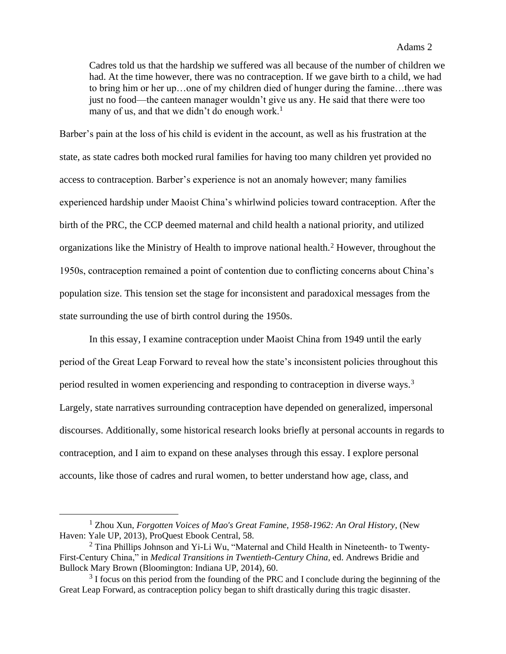### Adams 2

Cadres told us that the hardship we suffered was all because of the number of children we had. At the time however, there was no contraception. If we gave birth to a child, we had to bring him or her up…one of my children died of hunger during the famine…there was just no food—the canteen manager wouldn't give us any. He said that there were too many of us, and that we didn't do enough work.<sup>1</sup>

Barber's pain at the loss of his child is evident in the account, as well as his frustration at the state, as state cadres both mocked rural families for having too many children yet provided no access to contraception. Barber's experience is not an anomaly however; many families experienced hardship under Maoist China's whirlwind policies toward contraception. After the birth of the PRC, the CCP deemed maternal and child health a national priority, and utilized organizations like the Ministry of Health to improve national health.<sup>2</sup> However, throughout the 1950s, contraception remained a point of contention due to conflicting concerns about China's population size. This tension set the stage for inconsistent and paradoxical messages from the state surrounding the use of birth control during the 1950s.

In this essay, I examine contraception under Maoist China from 1949 until the early period of the Great Leap Forward to reveal how the state's inconsistent policies throughout this period resulted in women experiencing and responding to contraception in diverse ways.<sup>3</sup> Largely, state narratives surrounding contraception have depended on generalized, impersonal discourses. Additionally, some historical research looks briefly at personal accounts in regards to contraception, and I aim to expand on these analyses through this essay. I explore personal accounts, like those of cadres and rural women, to better understand how age, class, and

<sup>1</sup> Zhou Xun, *Forgotten Voices of Mao's Great Famine, 1958-1962: An Oral History,* (New Haven: Yale UP, 2013), ProQuest Ebook Central, 58.

<sup>&</sup>lt;sup>2</sup> Tina Phillips Johnson and Yi-Li Wu, "Maternal and Child Health in Nineteenth- to Twenty-First-Century China," in *Medical Transitions in Twentieth-Century China,* ed. Andrews Bridie and Bullock Mary Brown (Bloomington: Indiana UP, 2014), 60.

 $3$  I focus on this period from the founding of the PRC and I conclude during the beginning of the Great Leap Forward, as contraception policy began to shift drastically during this tragic disaster.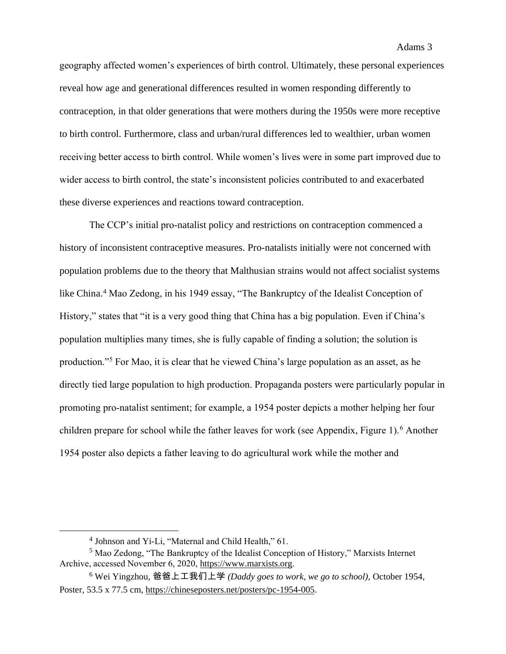geography affected women's experiences of birth control. Ultimately, these personal experiences reveal how age and generational differences resulted in women responding differently to contraception, in that older generations that were mothers during the 1950s were more receptive to birth control. Furthermore, class and urban/rural differences led to wealthier, urban women receiving better access to birth control. While women's lives were in some part improved due to wider access to birth control, the state's inconsistent policies contributed to and exacerbated these diverse experiences and reactions toward contraception.

The CCP's initial pro-natalist policy and restrictions on contraception commenced a history of inconsistent contraceptive measures. Pro-natalists initially were not concerned with population problems due to the theory that Malthusian strains would not affect socialist systems like China.<sup>4</sup> Mao Zedong, in his 1949 essay, "The Bankruptcy of the Idealist Conception of History," states that "it is a very good thing that China has a big population. Even if China's population multiplies many times, she is fully capable of finding a solution; the solution is production."<sup>5</sup> For Mao, it is clear that he viewed China's large population as an asset, as he directly tied large population to high production. Propaganda posters were particularly popular in promoting pro-natalist sentiment; for example, a 1954 poster depicts a mother helping her four children prepare for school while the father leaves for work (see Appendix, Figure 1).<sup>6</sup> Another 1954 poster also depicts a father leaving to do agricultural work while the mother and

<sup>4</sup> Johnson and Yi-Li, "Maternal and Child Health," 61.

<sup>5</sup> Mao Zedong, "The Bankruptcy of the Idealist Conception of History," Marxists Internet Archive, accessed November 6, 2020, [https://www.marxists.org](https://www.marxists.org/).

<sup>6</sup> Wei Yingzhou, 爸爸上工我们上学 *(Daddy goes to work, we go to school),* October 1954, Poster, 53.5 x 77.5 cm, [https://chineseposters.net/posters/pc-1954-005.](https://chineseposters.net/posters/pc-1954-005)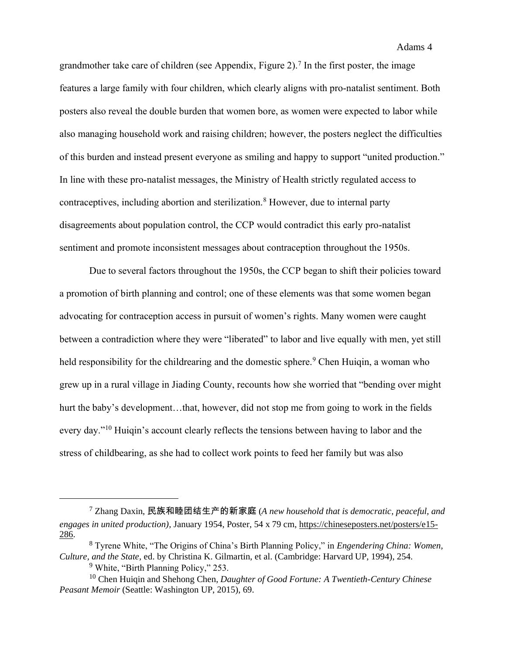grandmother take care of children (see Appendix, Figure 2).<sup>7</sup> In the first poster, the image features a large family with four children, which clearly aligns with pro-natalist sentiment. Both posters also reveal the double burden that women bore, as women were expected to labor while also managing household work and raising children; however, the posters neglect the difficulties of this burden and instead present everyone as smiling and happy to support "united production." In line with these pro-natalist messages, the Ministry of Health strictly regulated access to contraceptives, including abortion and sterilization.<sup>8</sup> However, due to internal party disagreements about population control, the CCP would contradict this early pro-natalist sentiment and promote inconsistent messages about contraception throughout the 1950s.

Due to several factors throughout the 1950s, the CCP began to shift their policies toward a promotion of birth planning and control; one of these elements was that some women began advocating for contraception access in pursuit of women's rights. Many women were caught between a contradiction where they were "liberated" to labor and live equally with men, yet still held responsibility for the childrearing and the domestic sphere.<sup>9</sup> Chen Huiqin, a woman who grew up in a rural village in Jiading County, recounts how she worried that "bending over might hurt the baby's development...that, however, did not stop me from going to work in the fields every day."<sup>10</sup> Huigin's account clearly reflects the tensions between having to labor and the stress of childbearing, as she had to collect work points to feed her family but was also

<sup>7</sup> Zhang Daxin, 民族和睦团结生产的新家庭 (*A new household that is democratic, peaceful, and engages in united production),* January 1954, Poster, 54 x 79 cm, [https://chineseposters.net/posters/e15-](https://chineseposters.net/posters/e15-286) [286.](https://chineseposters.net/posters/e15-286)

<sup>8</sup> Tyrene White, "The Origins of China's Birth Planning Policy," in *Engendering China: Women, Culture, and the State,* ed. by Christina K. Gilmartin, et al. (Cambridge: Harvard UP, 1994), 254.

<sup>9</sup> White, "Birth Planning Policy," 253.

<sup>10</sup> Chen Huiqin and Shehong Chen, *Daughter of Good Fortune: A Twentieth-Century Chinese Peasant Memoir* (Seattle: Washington UP, 2015), 69.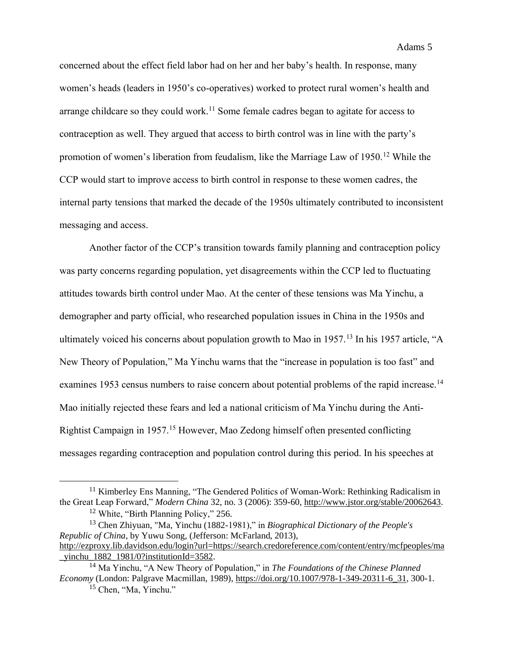concerned about the effect field labor had on her and her baby's health. In response, many women's heads (leaders in 1950's co-operatives) worked to protect rural women's health and arrange childcare so they could work.<sup>11</sup> Some female cadres began to agitate for access to contraception as well. They argued that access to birth control was in line with the party's promotion of women's liberation from feudalism, like the Marriage Law of 1950.<sup>12</sup> While the CCP would start to improve access to birth control in response to these women cadres, the internal party tensions that marked the decade of the 1950s ultimately contributed to inconsistent messaging and access.

Another factor of the CCP's transition towards family planning and contraception policy was party concerns regarding population, yet disagreements within the CCP led to fluctuating attitudes towards birth control under Mao. At the center of these tensions was Ma Yinchu, a demographer and party official, who researched population issues in China in the 1950s and ultimately voiced his concerns about population growth to Mao in 1957.<sup>13</sup> In his 1957 article, "A New Theory of Population," Ma Yinchu warns that the "increase in population is too fast" and examines 1953 census numbers to raise concern about potential problems of the rapid increase.<sup>14</sup> Mao initially rejected these fears and led a national criticism of Ma Yinchu during the Anti-Rightist Campaign in 1957.<sup>15</sup> However, Mao Zedong himself often presented conflicting messages regarding contraception and population control during this period. In his speeches at

<sup>&</sup>lt;sup>11</sup> Kimberley Ens Manning, "The Gendered Politics of Woman-Work: Rethinking Radicalism in the Great Leap Forward," *Modern China* 32, no. 3 (2006): 359-60, [http://www.jstor.org/stable/20062643.](http://www.jstor.org/stable/20062643) <sup>12</sup> White, "Birth Planning Policy," 256.

<sup>13</sup> Chen Zhiyuan, "Ma, Yinchu (1882-1981)," in *Biographical Dictionary of the People's Republic of China*, by Yuwu Song, (Jefferson: McFarland, 2013), [http://ezproxy.lib.davidson.edu/login?url=https://search.credoreference.com/content/entry/mcfpeoples/ma](http://ezproxy.lib.davidson.edu/login?url=https://search.credoreference.com/content/entry/mcfpeoples/ma_yinchu_1882_1981/0?institutionId=3582) [\\_yinchu\\_1882\\_1981/0?institutionId=3582.](http://ezproxy.lib.davidson.edu/login?url=https://search.credoreference.com/content/entry/mcfpeoples/ma_yinchu_1882_1981/0?institutionId=3582)

<sup>14</sup> Ma Yinchu, "A New Theory of Population," in *The Foundations of the Chinese Planned Economy* (London: Palgrave Macmillan, 1989), [https://doi.org/10.1007/978-1-349-20311-6\\_31](https://doi.org/10.1007/978-1-349-20311-6_31), 300-1.

<sup>&</sup>lt;sup>15</sup> Chen, "Ma, Yinchu."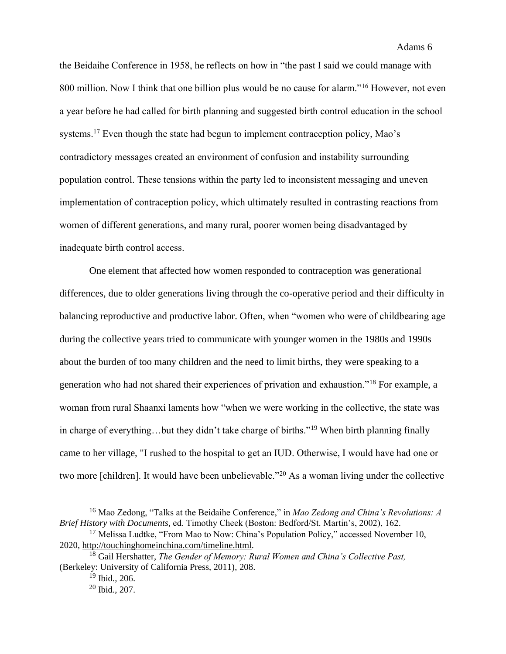### Adams 6

the Beidaihe Conference in 1958, he reflects on how in "the past I said we could manage with 800 million. Now I think that one billion plus would be no cause for alarm."<sup>16</sup> However, not even a year before he had called for birth planning and suggested birth control education in the school systems.<sup>17</sup> Even though the state had begun to implement contraception policy, Mao's contradictory messages created an environment of confusion and instability surrounding population control. These tensions within the party led to inconsistent messaging and uneven implementation of contraception policy, which ultimately resulted in contrasting reactions from women of different generations, and many rural, poorer women being disadvantaged by inadequate birth control access.

One element that affected how women responded to contraception was generational differences, due to older generations living through the co-operative period and their difficulty in balancing reproductive and productive labor. Often, when "women who were of childbearing age during the collective years tried to communicate with younger women in the 1980s and 1990s about the burden of too many children and the need to limit births, they were speaking to a generation who had not shared their experiences of privation and exhaustion."<sup>18</sup> For example, a woman from rural Shaanxi laments how "when we were working in the collective, the state was in charge of everything…but they didn't take charge of births."<sup>19</sup> When birth planning finally came to her village, "I rushed to the hospital to get an IUD. Otherwise, I would have had one or two more [children]. It would have been unbelievable."<sup>20</sup> As a woman living under the collective

<sup>16</sup> Mao Zedong, "Talks at the Beidaihe Conference," in *Mao Zedong and China's Revolutions: A Brief History with Documents,* ed. Timothy Cheek (Boston: Bedford/St. Martin's, 2002), 162.

<sup>&</sup>lt;sup>17</sup> Melissa Ludtke, "From Mao to Now: China's Population Policy," accessed November 10, 2020, [http://touchinghomeinchina.com/timeline.html.](http://touchinghomeinchina.com/timeline.html)

<sup>18</sup> Gail Hershatter, *The Gender of Memory: Rural Women and China's Collective Past,* (Berkeley: University of California Press, 2011), 208.

<sup>19</sup> Ibid.*,* 206.

<sup>20</sup> Ibid., 207.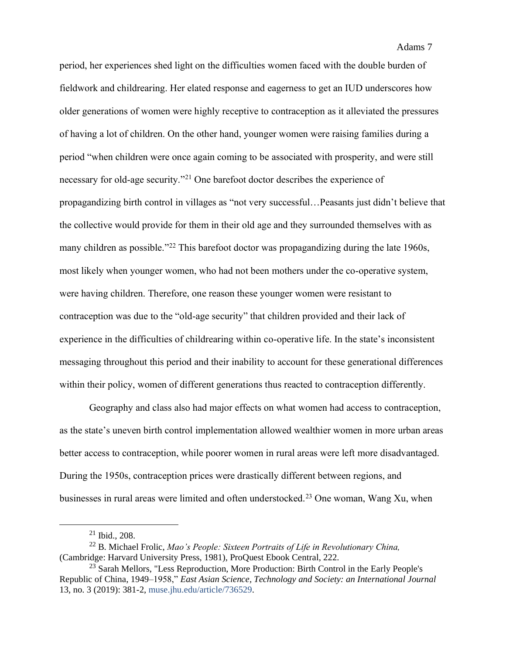period, her experiences shed light on the difficulties women faced with the double burden of fieldwork and childrearing. Her elated response and eagerness to get an IUD underscores how older generations of women were highly receptive to contraception as it alleviated the pressures of having a lot of children. On the other hand, younger women were raising families during a period "when children were once again coming to be associated with prosperity, and were still necessary for old-age security."<sup>21</sup> One barefoot doctor describes the experience of propagandizing birth control in villages as "not very successful…Peasants just didn't believe that the collective would provide for them in their old age and they surrounded themselves with as many children as possible."<sup>22</sup> This barefoot doctor was propagandizing during the late 1960s, most likely when younger women, who had not been mothers under the co-operative system, were having children. Therefore, one reason these younger women were resistant to contraception was due to the "old-age security" that children provided and their lack of experience in the difficulties of childrearing within co-operative life. In the state's inconsistent messaging throughout this period and their inability to account for these generational differences within their policy, women of different generations thus reacted to contraception differently.

Geography and class also had major effects on what women had access to contraception, as the state's uneven birth control implementation allowed wealthier women in more urban areas better access to contraception, while poorer women in rural areas were left more disadvantaged. During the 1950s, contraception prices were drastically different between regions, and businesses in rural areas were limited and often understocked.<sup>23</sup> One woman, Wang Xu, when

<sup>21</sup> Ibid., 208.

<sup>22</sup> B. Michael Frolic, *Mao's People: Sixteen Portraits of Life in Revolutionary China,* (Cambridge: Harvard University Press, 1981), ProQuest Ebook Central, 222.

<sup>&</sup>lt;sup>23</sup> Sarah Mellors, "Less Reproduction, More Production: Birth Control in the Early People's Republic of China, 1949–1958," *East Asian Science, Technology and Society: an International Journal* 13, no. 3 (2019): 381-2[, muse.jhu.edu/article/736529.](https://muse.jhu.edu/article/736529)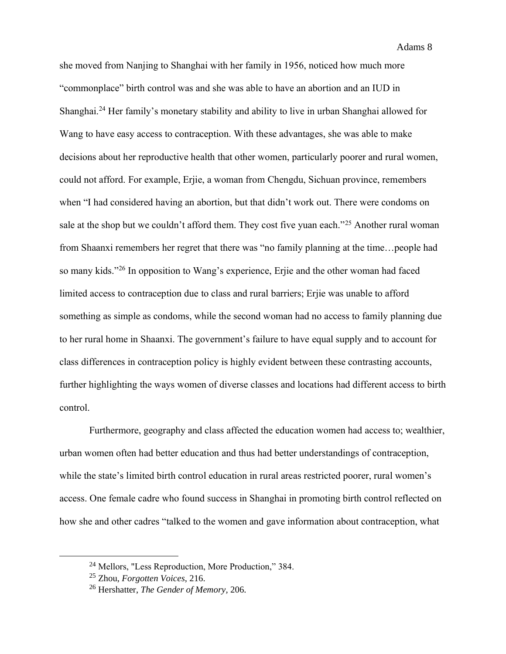she moved from Nanjing to Shanghai with her family in 1956, noticed how much more "commonplace" birth control was and she was able to have an abortion and an IUD in Shanghai.<sup>24</sup> Her family's monetary stability and ability to live in urban Shanghai allowed for Wang to have easy access to contraception. With these advantages, she was able to make decisions about her reproductive health that other women, particularly poorer and rural women, could not afford. For example, Erjie, a woman from Chengdu, Sichuan province, remembers when "I had considered having an abortion, but that didn't work out. There were condoms on sale at the shop but we couldn't afford them. They cost five yuan each."<sup>25</sup> Another rural woman from Shaanxi remembers her regret that there was "no family planning at the time…people had so many kids."<sup>26</sup> In opposition to Wang's experience, Erjie and the other woman had faced limited access to contraception due to class and rural barriers; Erjie was unable to afford something as simple as condoms, while the second woman had no access to family planning due to her rural home in Shaanxi. The government's failure to have equal supply and to account for class differences in contraception policy is highly evident between these contrasting accounts, further highlighting the ways women of diverse classes and locations had different access to birth control.

Furthermore, geography and class affected the education women had access to; wealthier, urban women often had better education and thus had better understandings of contraception, while the state's limited birth control education in rural areas restricted poorer, rural women's access. One female cadre who found success in Shanghai in promoting birth control reflected on how she and other cadres "talked to the women and gave information about contraception, what

<sup>24</sup> Mellors, "Less Reproduction, More Production," 384.

<sup>25</sup> Zhou, *Forgotten Voices*, 216.

<sup>26</sup> Hershatter, *The Gender of Memory,* 206.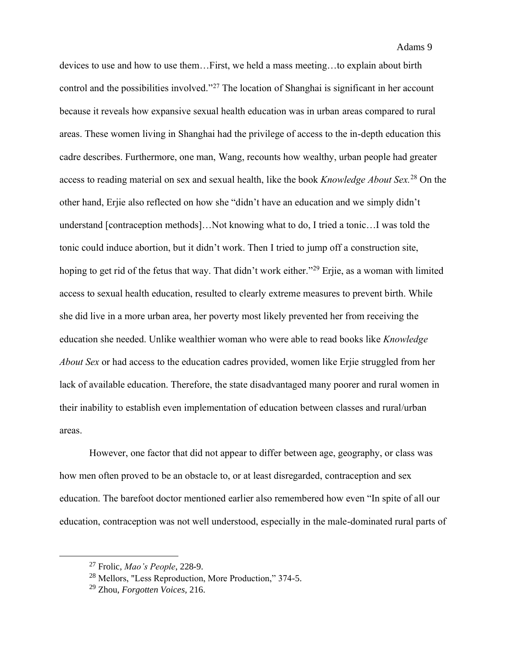devices to use and how to use them…First, we held a mass meeting…to explain about birth control and the possibilities involved."<sup>27</sup> The location of Shanghai is significant in her account because it reveals how expansive sexual health education was in urban areas compared to rural areas. These women living in Shanghai had the privilege of access to the in-depth education this cadre describes. Furthermore, one man, Wang, recounts how wealthy, urban people had greater access to reading material on sex and sexual health, like the book *Knowledge About Sex.*<sup>28</sup> On the other hand, Erjie also reflected on how she "didn't have an education and we simply didn't understand [contraception methods]…Not knowing what to do, I tried a tonic…I was told the tonic could induce abortion, but it didn't work. Then I tried to jump off a construction site, hoping to get rid of the fetus that way. That didn't work either."<sup>29</sup> Erjie, as a woman with limited access to sexual health education, resulted to clearly extreme measures to prevent birth. While she did live in a more urban area, her poverty most likely prevented her from receiving the education she needed. Unlike wealthier woman who were able to read books like *Knowledge About Sex* or had access to the education cadres provided, women like Erjie struggled from her lack of available education. Therefore, the state disadvantaged many poorer and rural women in their inability to establish even implementation of education between classes and rural/urban areas.

However, one factor that did not appear to differ between age, geography, or class was how men often proved to be an obstacle to, or at least disregarded, contraception and sex education. The barefoot doctor mentioned earlier also remembered how even "In spite of all our education, contraception was not well understood, especially in the male-dominated rural parts of

<sup>27</sup> Frolic, *Mao's People*, 228-9.

<sup>28</sup> Mellors, "Less Reproduction, More Production," 374-5.

<sup>29</sup> Zhou, *Forgotten Voices,* 216.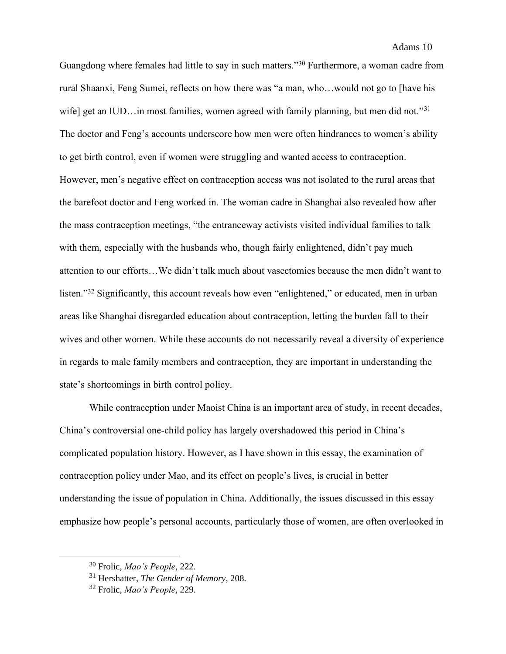Guangdong where females had little to say in such matters."<sup>30</sup> Furthermore, a woman cadre from rural Shaanxi, Feng Sumei, reflects on how there was "a man, who…would not go to [have his wife] get an IUD... in most families, women agreed with family planning, but men did not."<sup>31</sup> The doctor and Feng's accounts underscore how men were often hindrances to women's ability to get birth control, even if women were struggling and wanted access to contraception. However, men's negative effect on contraception access was not isolated to the rural areas that the barefoot doctor and Feng worked in. The woman cadre in Shanghai also revealed how after the mass contraception meetings, "the entranceway activists visited individual families to talk with them, especially with the husbands who, though fairly enlightened, didn't pay much attention to our efforts…We didn't talk much about vasectomies because the men didn't want to listen."<sup>32</sup> Significantly, this account reveals how even "enlightened," or educated, men in urban areas like Shanghai disregarded education about contraception, letting the burden fall to their wives and other women. While these accounts do not necessarily reveal a diversity of experience in regards to male family members and contraception, they are important in understanding the state's shortcomings in birth control policy.

While contraception under Maoist China is an important area of study, in recent decades, China's controversial one-child policy has largely overshadowed this period in China's complicated population history. However, as I have shown in this essay, the examination of contraception policy under Mao, and its effect on people's lives, is crucial in better understanding the issue of population in China. Additionally, the issues discussed in this essay emphasize how people's personal accounts, particularly those of women, are often overlooked in

<sup>30</sup> Frolic, *Mao's People*, 222.

<sup>31</sup> Hershatter, *The Gender of Memory,* 208.

<sup>32</sup> Frolic, *Mao's People*, 229.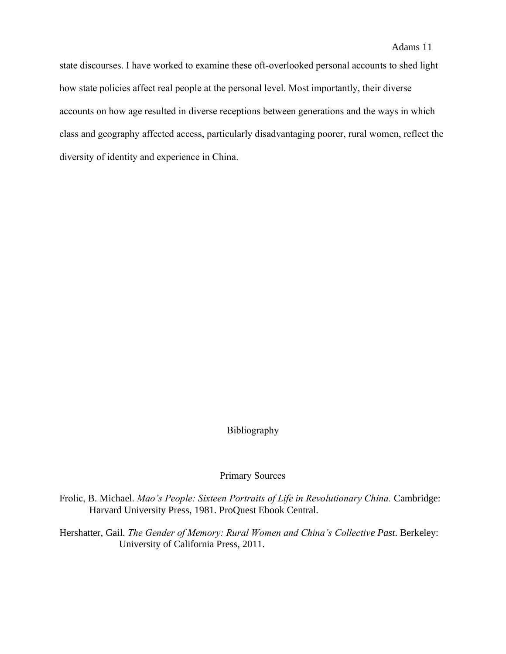state discourses. I have worked to examine these oft-overlooked personal accounts to shed light how state policies affect real people at the personal level. Most importantly, their diverse accounts on how age resulted in diverse receptions between generations and the ways in which class and geography affected access, particularly disadvantaging poorer, rural women, reflect the diversity of identity and experience in China.

# Bibliography

#### Primary Sources

Frolic, B. Michael. *Mao's People: Sixteen Portraits of Life in Revolutionary China.* Cambridge: Harvard University Press, 1981. ProQuest Ebook Central.

Hershatter, Gail. *The Gender of Memory: Rural Women and China's Collective Past*. Berkeley: University of California Press, 2011.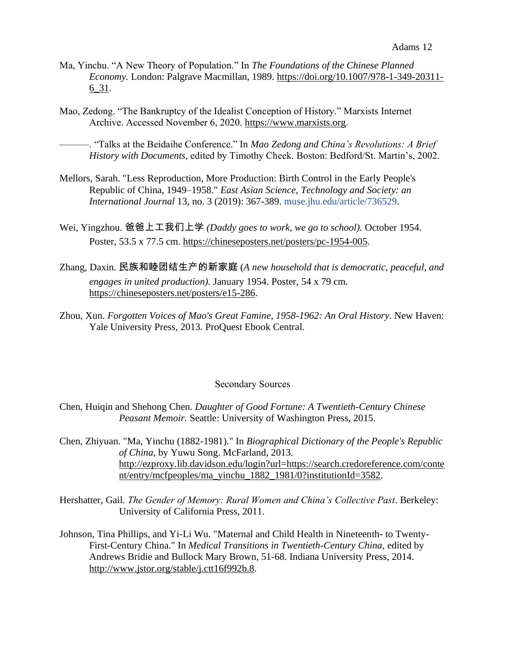- Ma, Yinchu. "A New Theory of Population." In *The Foundations of the Chinese Planned Economy.* London: Palgrave Macmillan, 1989. [https://doi.org/10.1007/978-1-349-20311-](https://doi.org/10.1007/978-1-349-20311-6_31) [6\\_31](https://doi.org/10.1007/978-1-349-20311-6_31).
- Mao, Zedong. "The Bankruptcy of the Idealist Conception of History." Marxists Internet Archive. Accessed November 6, 2020. [https://www.marxists.org](https://www.marxists.org/).

———. "Talks at the Beidaihe Conference." In *Mao Zedong and China's Revolutions: A Brief History with Documents,* edited by Timothy Cheek. Boston: Bedford/St. Martin's, 2002.

- Mellors, Sarah. "Less Reproduction, More Production: Birth Control in the Early People's Republic of China, 1949–1958." *East Asian Science, Technology and Society: an International Journal* 13, no. 3 (2019): 367-389. [muse.jhu.edu/article/736529.](https://muse.jhu.edu/article/736529)
- Wei, Yingzhou. 爸爸上工我们上学 *(Daddy goes to work, we go to school).* October 1954. Poster, 53.5 x 77.5 cm. [https://chineseposters.net/posters/pc-1954-005.](https://chineseposters.net/posters/pc-1954-005)
- Zhang, Daxin. 民族和睦团结生产的新家庭 (*A new household that is democratic, peaceful, and engages in united production).* January 1954. Poster, 54 x 79 cm. [https://chineseposters.net/posters/e15-286.](https://chineseposters.net/posters/e15-286)
- Zhou, Xun. *Forgotten Voices of Mao's Great Famine, 1958-1962: An Oral History*. New Haven: Yale University Press, 2013. ProQuest Ebook Central.

## Secondary Sources

- Chen, Huiqin and Shehong Chen. *Daughter of Good Fortune: A Twentieth-Century Chinese Peasant Memoir.* Seattle: University of Washington Press, 2015.
- Chen, Zhiyuan. "Ma, Yinchu (1882-1981)." In *Biographical Dictionary of the People's Republic of China*, by Yuwu Song. McFarland, 2013. [http://ezproxy.lib.davidson.edu/login?url=https://search.credoreference.com/conte](http://ezproxy.lib.davidson.edu/login?url=https://search.credoreference.com/content/entry/mcfpeoples/ma_yinchu_1882_1981/0?institutionId=3582) [nt/entry/mcfpeoples/ma\\_yinchu\\_1882\\_1981/0?institutionId=3582.](http://ezproxy.lib.davidson.edu/login?url=https://search.credoreference.com/content/entry/mcfpeoples/ma_yinchu_1882_1981/0?institutionId=3582)
- Hershatter, Gail. *The Gender of Memory: Rural Women and China's Collective Past*. Berkeley: University of California Press, 2011.
- Johnson, Tina Phillips, and Yi-Li Wu. "Maternal and Child Health in Nineteenth- to Twenty-First-Century China." In *Medical Transitions in Twentieth-Century China*, edited by Andrews Bridie and Bullock Mary Brown, 51-68. Indiana University Press, 2014. [http://www.jstor.org/stable/j.ctt16f992b.8.](http://www.jstor.org/stable/j.ctt16f992b.8)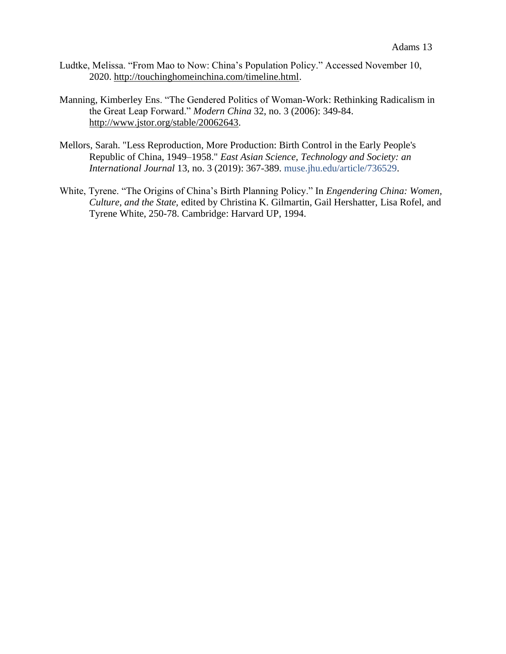- Ludtke, Melissa. "From Mao to Now: China's Population Policy." Accessed November 10, 2020. [http://touchinghomeinchina.com/timeline.html.](http://touchinghomeinchina.com/timeline.html)
- Manning, Kimberley Ens. "The Gendered Politics of Woman-Work: Rethinking Radicalism in the Great Leap Forward." *Modern China* 32, no. 3 (2006): 349-84. [http://www.jstor.org/stable/20062643.](http://www.jstor.org/stable/20062643)
- Mellors, Sarah. "Less Reproduction, More Production: Birth Control in the Early People's Republic of China, 1949–1958." *East Asian Science, Technology and Society: an International Journal* 13, no. 3 (2019): 367-389. [muse.jhu.edu/article/736529.](https://muse.jhu.edu/article/736529)
- White, Tyrene. "The Origins of China's Birth Planning Policy." In *Engendering China: Women, Culture, and the State,* edited by Christina K. Gilmartin, Gail Hershatter, Lisa Rofel, and Tyrene White, 250-78. Cambridge: Harvard UP, 1994.